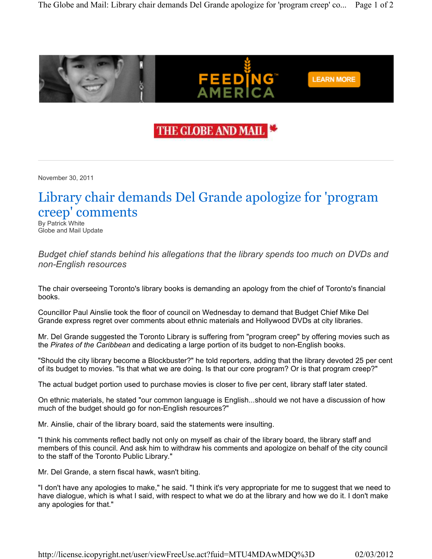

## THE GLOBE AND MAIL

November 30, 2011

## Library chair demands Del Grande apologize for 'program creep' comments

By Patrick White Globe and Mail Update

Budget chief stands behind his allegations that the library spends too much on DVDs and non-English resources

The chair overseeing Toronto's library books is demanding an apology from the chief of Toronto's financial books.

Councillor Paul Ainslie took the floor of council on Wednesday to demand that Budget Chief Mike Del Grande express regret over comments about ethnic materials and Hollywood DVDs at city libraries.

Mr. Del Grande suggested the Toronto Library is suffering from "program creep" by offering movies such as the Pirates of the Caribbean and dedicating a large portion of its budget to non-English books.

"Should the city library become a Blockbuster?" he told reporters, adding that the library devoted 25 per cent of its budget to movies. "Is that what we are doing. Is that our core program? Or is that program creep?"

The actual budget portion used to purchase movies is closer to five per cent, library staff later stated.

On ethnic materials, he stated "our common language is English...should we not have a discussion of how much of the budget should go for non-English resources?"

Mr. Ainslie, chair of the library board, said the statements were insulting.

"I think his comments reflect badly not only on myself as chair of the library board, the library staff and members of this council. And ask him to withdraw his comments and apologize on behalf of the city council to the staff of the Toronto Public Library."

Mr. Del Grande, a stern fiscal hawk, wasn't biting.

"I don't have any apologies to make," he said. "I think it's very appropriate for me to suggest that we need to have dialogue, which is what I said, with respect to what we do at the library and how we do it. I don't make any apologies for that."

http://license.icopyright.net/user/viewFreeUse.act?fuid=MTU4MDAwMDQ%3D 02/03/2012